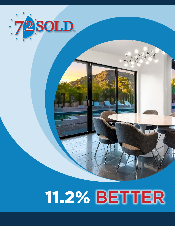

## **11.2% BETTER**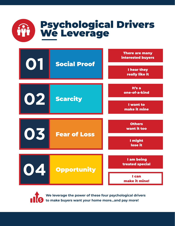





**We leverage the power of these four psychological drivers to make buyers want your home more…and pay more!**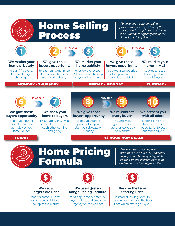